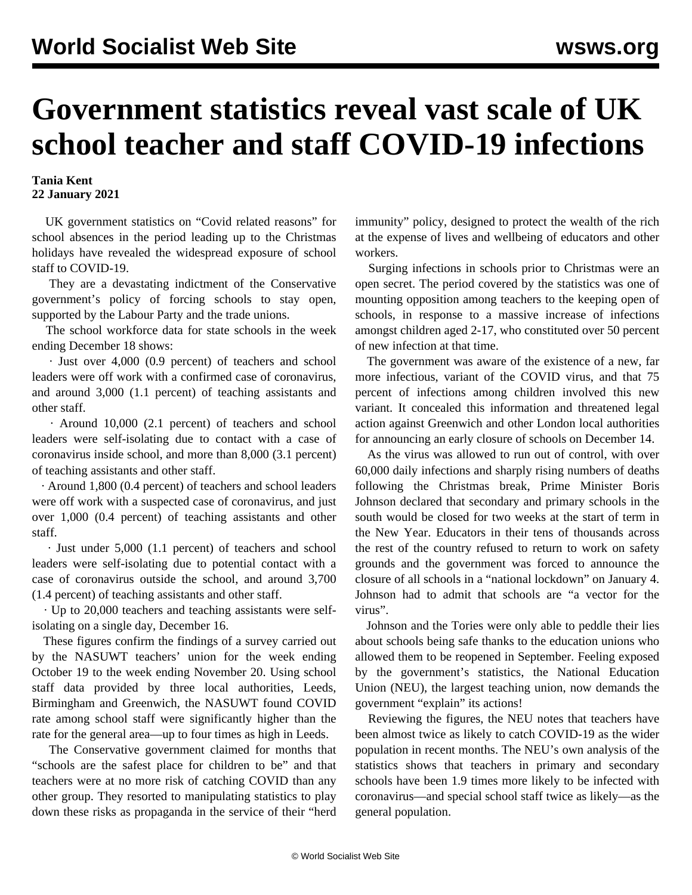## **Government statistics reveal vast scale of UK school teacher and staff COVID-19 infections**

## **Tania Kent 22 January 2021**

 UK government statistics on "Covid related reasons" for school absences in the period leading up to the Christmas holidays have revealed the widespread exposure of school staff to COVID-19.

 They are a devastating indictment of the Conservative government's policy of forcing schools to stay open, supported by the Labour Party and the trade unions.

 The school workforce data for state schools in the week ending December 18 shows:

 · Just over 4,000 (0.9 percent) of teachers and school leaders were off work with a confirmed case of coronavirus, and around 3,000 (1.1 percent) of teaching assistants and other staff.

 · Around 10,000 (2.1 percent) of teachers and school leaders were self-isolating due to contact with a case of coronavirus inside school, and more than 8,000 (3.1 percent) of teaching assistants and other staff.

 · Around 1,800 (0.4 percent) of teachers and school leaders were off work with a suspected case of coronavirus, and just over 1,000 (0.4 percent) of teaching assistants and other staff.

 · Just under 5,000 (1.1 percent) of teachers and school leaders were self-isolating due to potential contact with a case of coronavirus outside the school, and around 3,700 (1.4 percent) of teaching assistants and other staff.

 · Up to 20,000 teachers and teaching assistants were selfisolating on a single day, December 16.

 These figures confirm the findings of a survey carried out by the NASUWT teachers' union for the week ending October 19 to the week ending November 20. Using school staff data provided by three local authorities, Leeds, Birmingham and Greenwich, the NASUWT found COVID rate among school staff were significantly higher than the rate for the general area—up to four times as high in Leeds.

 The Conservative government claimed for months that "schools are the safest place for children to be" and that teachers were at no more risk of catching COVID than any other group. They resorted to [manipulating](/en/articles/2020/12/05/onss-d05.html) statistics to play down these risks as propaganda in the service of their "herd

immunity" policy, designed to protect the wealth of the rich at the expense of lives and wellbeing of educators and other workers.

 Surging infections in schools prior to Christmas were an open secret. The period covered by the statistics was one of mounting opposition among teachers to the keeping open of schools, in response to a massive increase of infections amongst children aged 2-17, who constituted over 50 percent of new infection at that time.

 The government was aware of the existence of a new, far more infectious, variant of the COVID virus, and that 75 percent of infections among children involved this new variant. It concealed this information and threatened legal action against Greenwich and other London local authorities for announcing an early closure of schools on December 14.

 As the virus was allowed to run out of control, with over 60,000 daily infections and sharply rising numbers of deaths following the Christmas break, Prime Minister Boris Johnson declared that secondary and primary schools in the south would be closed for two weeks at the start of term in the New Year. Educators in their tens of thousands across the rest of the country refused to return to work on safety grounds and the government was forced to announce the closure of all schools in a "national lockdown" on January 4. Johnson had to admit that schools are "a vector for the virus".

 Johnson and the Tories were only able to peddle their lies about schools being safe thanks to the education unions who allowed them to be reopened in September. Feeling exposed by the government's statistics, the National Education Union (NEU), the largest teaching union, now demands the government "explain" its actions!

 Reviewing the figures, the NEU notes that teachers have been almost twice as likely to catch COVID-19 as the wider population in recent months. The NEU's own analysis of the statistics shows that teachers in primary and secondary schools have been 1.9 times more likely to be infected with coronavirus—and special school staff twice as likely—as the general population.